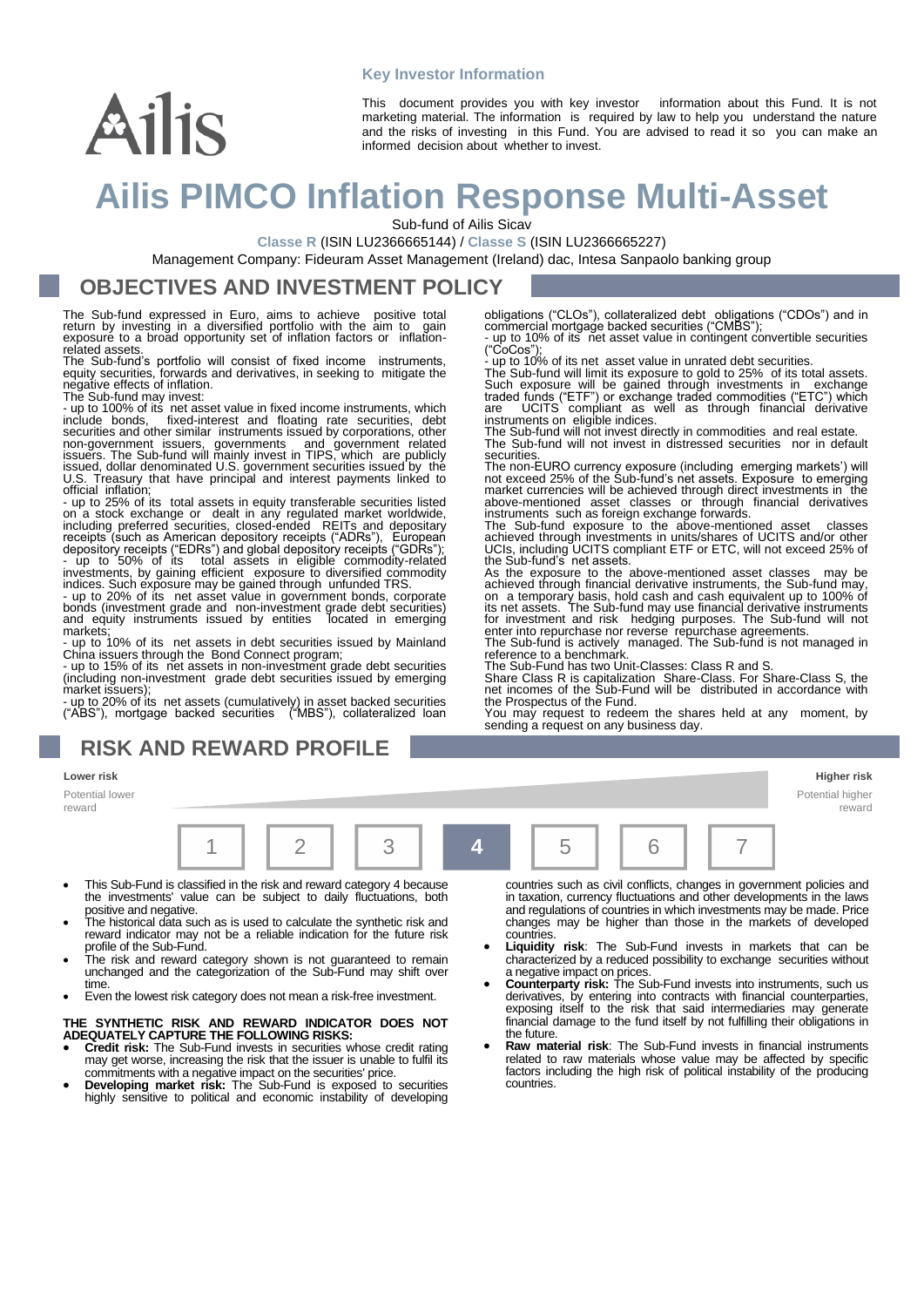### **Key Investor Information**

#### This document provides you with key investor information about this Fund. It is not marketing material. The information is required by law to help you understand the nature and the risks of investing in this Fund. You are advised to read it so you can make an informed decision about whether to invest.

# **Ailis PIMCO Inflation Response Multi-Asset**

Sub-fund of Ailis Sicav

**Classe R** (ISIN LU2366665144) / **Classe S** (ISIN LU2366665227)

Management Company: Fideuram Asset Management (Ireland) dac, Intesa Sanpaolo banking group

### **OBJECTIVES AND INVESTMENT POLICY**

The Sub-fund expressed in Euro, aims to achieve positive total return by investing in a diversified portfolio with the aim to gain exposure to a broad opportunity set of inflation factors or inflationrelated assets.

The Sub-fund's portfolio will consist of fixed income instruments, equity securities, forwards and derivatives, in seeking to mitigate the negative effects of inflation. The Sub-fund may invest:

Ailis

- up to 100% of its net asset value in fixed income instruments, which include bonds, fixed-interest and floating rate securities, debt securities and other similar instruments issued by corporations, other non-government issuers, governments and government related issuers. The Sub-fund will mainly invest in TIPS, which are publicly issued, dollar denominated U.S. government securities issued by the U.S. Treasury that have principal and interest payments linked to

official inflation; - up to 25% of its total assets in equity transferable securities listed on a stock exchange or dealt in any regulated market worldwide, including preferred securities, closed-ended REITs and depositary receipts (such as American depository receipts ("ADRs"), European depository receipts ("EDRs") and global depository receipts ("GDRs"); - up to 50% of its total assets in eligible commodity-related

investments, by gaining efficient exposure to diversified commodity<br>indices. Such exposure may be gained through unfunded TRS.<br>- up to 20% of its net asset value in government bonds, corporate<br>bonds (investment grade and n

markets; - up to 10% of its net assets in debt securities issued by Mainland China issuers through the Bond Connect program; - up to 15% of its net assets in non-investment grade debt securities

(including non-investment grade debt securities issued by emerging market issuers);

- up to 20% of its net assets (cumulatively) in asset backed securities ("ABS"), mortgage backed securities ("MBS"), collateralized loan

### **RISK AND REWARD PROFILE**

Potential lower reward



- This Sub-Fund is classified in the risk and reward category 4 because the investments' value can be subject to daily fluctuations, both positive and negative.
- The historical data such as is used to calculate the synthetic risk and reward indicator may not be a reliable indication for the future risk profile of the Sub-Fund.
- The risk and reward category shown is not guaranteed to remain unchanged and the categorization of the Sub-Fund may shift over time.
- Even the lowest risk category does not mean a risk-free investment.

#### **THE SYNTHETIC RISK AND REWARD INDICATOR DOES NOT ADEQUATELY CAPTURE THE FOLLOWING RISKS:**

- **Credit risk:** The Sub-Fund invests in securities whose credit rating may get worse, increasing the risk that the issuer is unable to fulfil its commitments with a negative impact on the securities' price.
- **Developing market risk:** The Sub-Fund is exposed to securities highly sensitive to political and economic instability of developing

countries such as civil conflicts, changes in government policies and in taxation, currency fluctuations and other developments in the laws and regulations of countries in which investments may be made. Price changes may be higher than those in the markets of developed countries. • **Liquidity risk**: The Sub-Fund invests in markets that can be

- characterized by a reduced possibility to exchange securities without
- a negative impact on prices. **Counterparty risk:** The Sub-Fund invests into instruments, such us derivatives, by entering into contracts with financial counterparties, exposing itself to the risk that said intermediaries may generate financial damage to the fund itself by not fulfilling their obligations in the future.
- **Raw material risk:** The Sub-Fund invests in financial instruments related to raw materials whose value may be affected by specific factors including the high risk of political instability of the producing countries.

**Lower risk Higher risk**

Potential higher reward

("CoCos"); - up to 10% of its net asset value in unrated debt securities. The Sub-fund will limit its exposure to gold to 25% of its total assets.

obligations ("CLOs"), collateralized debt obligations ("CDOs") and in commercial mortgage backed securities ("CMBS"); - up to 10% of its net asset value in contingent convertible securities

Such exposure will be gained through investments in exchange<br>traded funds ("ETF") or exchange traded commodities ("ETC") which<br>are UCITS compliant as well as through financial derivative<br>instruments on eligible indices.<br>Th

The Sub-fund will not invest in distressed securities nor in default

securities.<br>The non-EURO currency exposure (including emerging markets') will<br>not exceed 25% of the Sub-fund's net assets. Exposure to emerging<br>market currencies will be achieved through direct investments in the<br>above-men

instruments such as foreign exchange forwards.<br>The Sub-fund exposure to the above-mentioned asset classes<br>achieved through investments in units/shares of UCITS and/or other<br>UCIs, including UCITS compliant ETF or ETC, will

As the exposure to the above-mentioned asset classes may be achieved through financial derivative instruments, the Sub-fund may, on a temporary basis, hold cash and cash equivalent up to 100% of its net assets. The Sub-fun

The Sub-Fund has two Unit-Classes: Class R and S. Share Class R is capitalization Share-Class. For Share-Class S, the net incomes of the Sub-Fund will be distributed in accordance with the Prospectus of the Fund.

You may request to redeem the shares held at any moment, by sending a request on any business day.